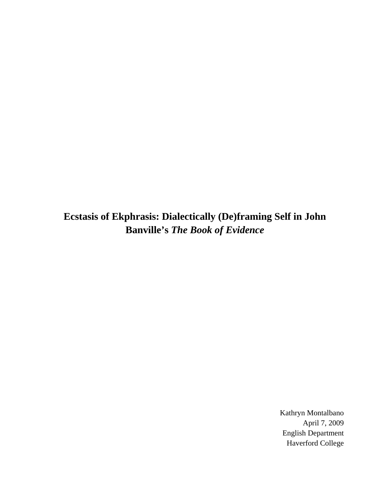**Ecstasis of Ekphrasis: Dialectically (De)framing Self in John Banville's** *The Book of Evidence* 

> Kathryn Montalbano April 7, 2009 English Department Haverford College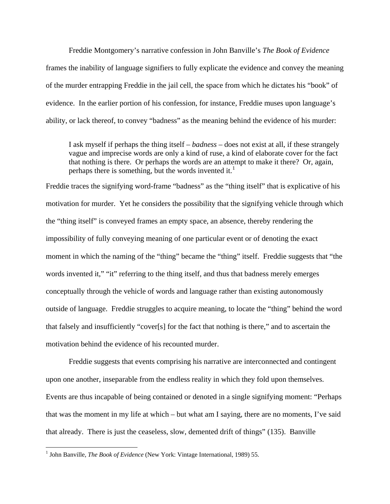Freddie Montgomery's narrative confession in John Banville's *The Book of Evidence*  frames the inability of language signifiers to fully explicate the evidence and convey the meaning of the murder entrapping Freddie in the jail cell, the space from which he dictates his "book" of evidence. In the earlier portion of his confession, for instance, Freddie muses upon language's ability, or lack thereof, to convey "badness" as the meaning behind the evidence of his murder:

I ask myself if perhaps the thing itself – *badness* – does not exist at all, if these strangely vague and imprecise words are only a kind of ruse, a kind of elaborate cover for the fact that nothing is there. Or perhaps the words are an attempt to make it there? Or, again, perhaps there is something, but the words invented it.<sup>[1](#page-1-0)</sup>

Freddie traces the signifying word-frame "badness" as the "thing itself" that is explicative of his motivation for murder. Yet he considers the possibility that the signifying vehicle through which the "thing itself" is conveyed frames an empty space, an absence, thereby rendering the impossibility of fully conveying meaning of one particular event or of denoting the exact moment in which the naming of the "thing" became the "thing" itself. Freddie suggests that "the words invented it," "it" referring to the thing itself, and thus that badness merely emerges conceptually through the vehicle of words and language rather than existing autonomously outside of language. Freddie struggles to acquire meaning, to locate the "thing" behind the word that falsely and insufficiently "cover[s] for the fact that nothing is there," and to ascertain the motivation behind the evidence of his recounted murder.

 Freddie suggests that events comprising his narrative are interconnected and contingent upon one another, inseparable from the endless reality in which they fold upon themselves. Events are thus incapable of being contained or denoted in a single signifying moment: "Perhaps that was the moment in my life at which – but what am I saying, there are no moments, I've said that already. There is just the ceaseless, slow, demented drift of things" (135). Banville

<u>.</u>

<span id="page-1-0"></span><sup>&</sup>lt;sup>1</sup> John Banville, *The Book of Evidence* (New York: Vintage International, 1989) 55.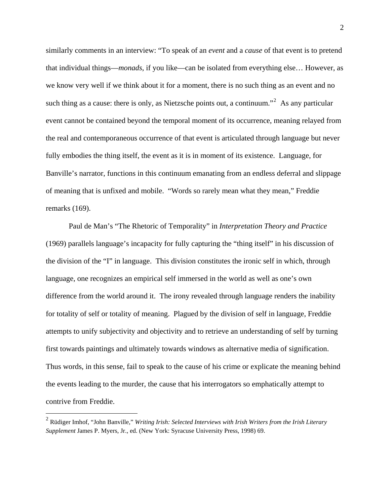similarly comments in an interview: "To speak of an *event* and a *cause* of that event is to pretend that individual things—*monads*, if you like—can be isolated from everything else… However, as we know very well if we think about it for a moment, there is no such thing as an event and no such thing as a cause: there is only, as Nietzsche points out, a continuum."<sup>[2](#page-2-0)</sup> As any particular event cannot be contained beyond the temporal moment of its occurrence, meaning relayed from the real and contemporaneous occurrence of that event is articulated through language but never fully embodies the thing itself, the event as it is in moment of its existence. Language, for Banville's narrator, functions in this continuum emanating from an endless deferral and slippage of meaning that is unfixed and mobile. "Words so rarely mean what they mean," Freddie remarks (169).

 Paul de Man's "The Rhetoric of Temporality" in *Interpretation Theory and Practice*  (1969) parallels language's incapacity for fully capturing the "thing itself" in his discussion of the division of the "I" in language. This division constitutes the ironic self in which, through language, one recognizes an empirical self immersed in the world as well as one's own difference from the world around it. The irony revealed through language renders the inability for totality of self or totality of meaning. Plagued by the division of self in language, Freddie attempts to unify subjectivity and objectivity and to retrieve an understanding of self by turning first towards paintings and ultimately towards windows as alternative media of signification. Thus words, in this sense, fail to speak to the cause of his crime or explicate the meaning behind the events leading to the murder, the cause that his interrogators so emphatically attempt to contrive from Freddie.

<span id="page-2-0"></span><sup>2</sup> Rüdiger Imhof, "John Banville," *Writing Irish: Selected Interviews with Irish Writers from the Irish Literary Supplement* James P. Myers, Jr., ed. (New York: Syracuse University Press, 1998) 69.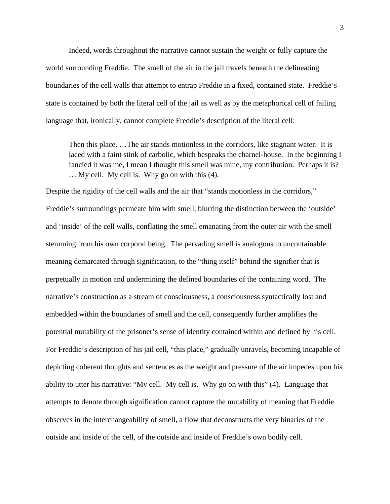Indeed, words throughout the narrative cannot sustain the weight or fully capture the world surrounding Freddie. The smell of the air in the jail travels beneath the delineating boundaries of the cell walls that attempt to entrap Freddie in a fixed, contained state. Freddie's state is contained by both the literal cell of the jail as well as by the metaphorical cell of failing language that, ironically, cannot complete Freddie's description of the literal cell:

Then this place. …The air stands motionless in the corridors, like stagnant water. It is laced with a faint stink of carbolic, which bespeaks the charnel-house. In the beginning I fancied it was me, I mean I thought this smell was mine, my contribution. Perhaps it is? … My cell. My cell is. Why go on with this (4).

Despite the rigidity of the cell walls and the air that "stands motionless in the corridors," Freddie's surroundings permeate him with smell, blurring the distinction between the 'outside' and 'inside' of the cell walls, conflating the smell emanating from the outer air with the smell stemming from his own corporal being. The pervading smell is analogous to uncontainable meaning demarcated through signification, to the "thing itself" behind the signifier that is perpetually in motion and undermining the defined boundaries of the containing word. The narrative's construction as a stream of consciousness, a consciousness syntactically lost and embedded within the boundaries of smell and the cell, consequently further amplifies the potential mutability of the prisoner's sense of identity contained within and defined by his cell. For Freddie's description of his jail cell, "this place," gradually unravels, becoming incapable of depicting coherent thoughts and sentences as the weight and pressure of the air impedes upon his ability to utter his narrative: "My cell. My cell is. Why go on with this" (4). Language that attempts to denote through signification cannot capture the mutability of meaning that Freddie observes in the interchangeability of smell, a flow that deconstructs the very binaries of the outside and inside of the cell, of the outside and inside of Freddie's own bodily cell.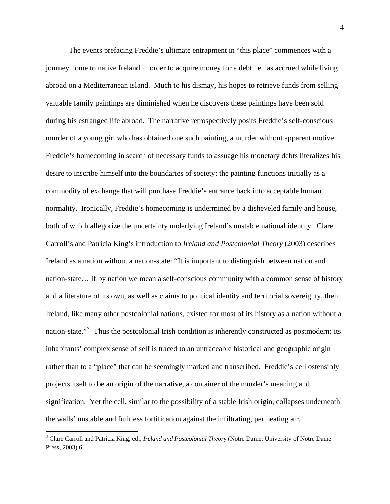The events prefacing Freddie's ultimate entrapment in "this place" commences with a journey home to native Ireland in order to acquire money for a debt he has accrued while living abroad on a Mediterranean island. Much to his dismay, his hopes to retrieve funds from selling valuable family paintings are diminished when he discovers these paintings have been sold during his estranged life abroad. The narrative retrospectively posits Freddie's self-conscious murder of a young girl who has obtained one such painting, a murder without apparent motive. Freddie's homecoming in search of necessary funds to assuage his monetary debts literalizes his desire to inscribe himself into the boundaries of society: the painting functions initially as a commodity of exchange that will purchase Freddie's entrance back into acceptable human normality. Ironically, Freddie's homecoming is undermined by a disheveled family and house, both of which allegorize the uncertainty underlying Ireland's unstable national identity. Clare Carroll's and Patricia King's introduction to *Ireland and Postcolonial Theory* (2003) describes Ireland as a nation without a nation-state: "It is important to distinguish between nation and nation-state… If by nation we mean a self-conscious community with a common sense of history and a literature of its own, as well as claims to political identity and territorial sovereignty, then Ireland, like many other postcolonial nations, existed for most of its history as a nation without a nation-state."<sup>[3](#page-4-0)</sup> Thus the postcolonial Irish condition is inherently constructed as postmodern: its inhabitants' complex sense of self is traced to an untraceable historical and geographic origin rather than to a "place" that can be seemingly marked and transcribed. Freddie's cell ostensibly projects itself to be an origin of the narrative, a container of the murder's meaning and signification. Yet the cell, similar to the possibility of a stable Irish origin, collapses underneath the walls' unstable and fruitless fortification against the infiltrating, permeating air.

<span id="page-4-0"></span><sup>&</sup>lt;sup>3</sup> Clare Carroll and Patricia King, ed., *Ireland and Postcolonial Theory* (Notre Dame: University of Notre Dame Press, 2003) 6.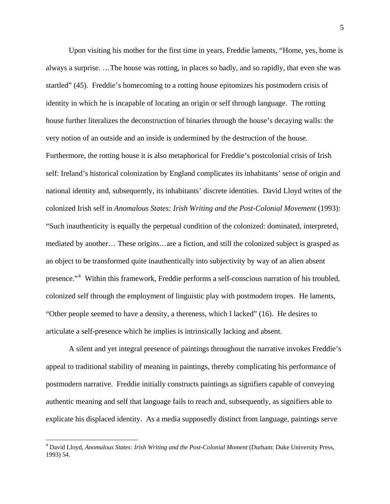Upon visiting his mother for the first time in years, Freddie laments, "Home, yes, home is always a surprise. …The house was rotting, in places so badly, and so rapidly, that even she was startled" (45). Freddie's homecoming to a rotting house epitomizes his postmodern crisis of identity in which he is incapable of locating an origin or self through language. The rotting house further literalizes the deconstruction of binaries through the house's decaying walls: the very notion of an outside and an inside is undermined by the destruction of the house. Furthermore, the rotting house it is also metaphorical for Freddie's postcolonial crisis of Irish self: Ireland's historical colonization by England complicates its inhabitants' sense of origin and national identity and, subsequently, its inhabitants' discrete identities. David Lloyd writes of the colonized Irish self in *Anomalous States: Irish Writing and the Post-Colonial Movement* (1993): "Such inauthenticity is equally the perpetual condition of the colonized: dominated, interpreted, mediated by another… These origins…are a fiction, and still the colonized subject is grasped as an object to be transformed quite inauthentically into subjectivity by way of an alien absent presence."<sup>[4](#page-5-0)</sup> Within this framework, Freddie performs a self-conscious narration of his troubled, colonized self through the employment of linguistic play with postmodern tropes. He laments, "Other people seemed to have a density, a thereness, which I lacked" (16). He desires to articulate a self-presence which he implies is intrinsically lacking and absent.

 A silent and yet integral presence of paintings throughout the narrative invokes Freddie's appeal to traditional stability of meaning in paintings, thereby complicating his performance of postmodern narrative. Freddie initially constructs paintings as signifiers capable of conveying authentic meaning and self that language fails to reach and, subsequently, as signifiers able to explicate his displaced identity. As a media supposedly distinct from language, paintings serve

1

<span id="page-5-0"></span><sup>4</sup> David Lloyd, *Anomalous States: Irish Writing and the Post-Colonial Moment* (Durham: Duke University Press, 1993) 54.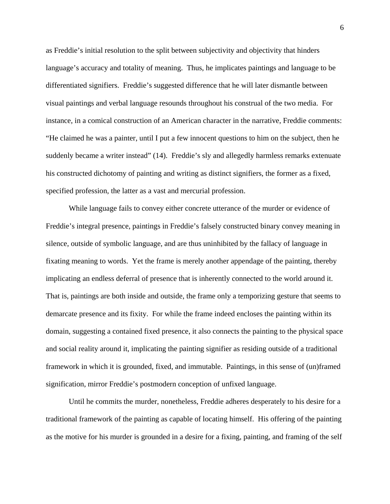as Freddie's initial resolution to the split between subjectivity and objectivity that hinders language's accuracy and totality of meaning. Thus, he implicates paintings and language to be differentiated signifiers. Freddie's suggested difference that he will later dismantle between visual paintings and verbal language resounds throughout his construal of the two media. For instance, in a comical construction of an American character in the narrative, Freddie comments: "He claimed he was a painter, until I put a few innocent questions to him on the subject, then he suddenly became a writer instead" (14). Freddie's sly and allegedly harmless remarks extenuate his constructed dichotomy of painting and writing as distinct signifiers, the former as a fixed, specified profession, the latter as a vast and mercurial profession.

 While language fails to convey either concrete utterance of the murder or evidence of Freddie's integral presence, paintings in Freddie's falsely constructed binary convey meaning in silence, outside of symbolic language, and are thus uninhibited by the fallacy of language in fixating meaning to words. Yet the frame is merely another appendage of the painting, thereby implicating an endless deferral of presence that is inherently connected to the world around it. That is, paintings are both inside and outside, the frame only a temporizing gesture that seems to demarcate presence and its fixity. For while the frame indeed encloses the painting within its domain, suggesting a contained fixed presence, it also connects the painting to the physical space and social reality around it, implicating the painting signifier as residing outside of a traditional framework in which it is grounded, fixed, and immutable. Paintings, in this sense of (un)framed signification, mirror Freddie's postmodern conception of unfixed language.

 Until he commits the murder, nonetheless, Freddie adheres desperately to his desire for a traditional framework of the painting as capable of locating himself. His offering of the painting as the motive for his murder is grounded in a desire for a fixing, painting, and framing of the self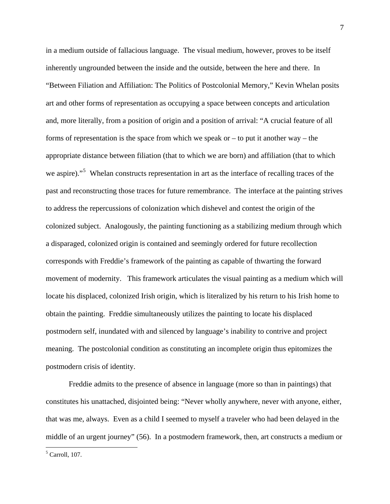in a medium outside of fallacious language. The visual medium, however, proves to be itself inherently ungrounded between the inside and the outside, between the here and there. In "Between Filiation and Affiliation: The Politics of Postcolonial Memory," Kevin Whelan posits art and other forms of representation as occupying a space between concepts and articulation and, more literally, from a position of origin and a position of arrival: "A crucial feature of all forms of representation is the space from which we speak or  $-$  to put it another way  $-$  the appropriate distance between filiation (that to which we are born) and affiliation (that to which we aspire)."<sup>[5](#page-7-0)</sup> Whelan constructs representation in art as the interface of recalling traces of the past and reconstructing those traces for future remembrance. The interface at the painting strives to address the repercussions of colonization which dishevel and contest the origin of the colonized subject. Analogously, the painting functioning as a stabilizing medium through which a disparaged, colonized origin is contained and seemingly ordered for future recollection corresponds with Freddie's framework of the painting as capable of thwarting the forward movement of modernity. This framework articulates the visual painting as a medium which will locate his displaced, colonized Irish origin, which is literalized by his return to his Irish home to obtain the painting. Freddie simultaneously utilizes the painting to locate his displaced postmodern self, inundated with and silenced by language's inability to contrive and project meaning. The postcolonial condition as constituting an incomplete origin thus epitomizes the postmodern crisis of identity.

 Freddie admits to the presence of absence in language (more so than in paintings) that constitutes his unattached, disjointed being: "Never wholly anywhere, never with anyone, either, that was me, always. Even as a child I seemed to myself a traveler who had been delayed in the middle of an urgent journey" (56). In a postmodern framework, then, art constructs a medium or

<span id="page-7-0"></span>5 Carroll, 107.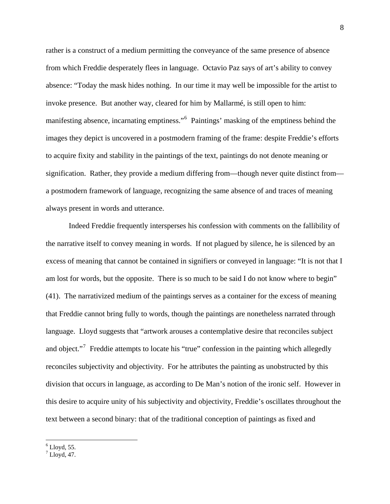rather is a construct of a medium permitting the conveyance of the same presence of absence from which Freddie desperately flees in language. Octavio Paz says of art's ability to convey absence: "Today the mask hides nothing. In our time it may well be impossible for the artist to invoke presence. But another way, cleared for him by Mallarmé, is still open to him: manifesting absence, incarnating emptiness."<sup>[6](#page-8-0)</sup> Paintings' masking of the emptiness behind the images they depict is uncovered in a postmodern framing of the frame: despite Freddie's efforts to acquire fixity and stability in the paintings of the text, paintings do not denote meaning or signification. Rather, they provide a medium differing from—though never quite distinct from a postmodern framework of language, recognizing the same absence of and traces of meaning always present in words and utterance.

 Indeed Freddie frequently intersperses his confession with comments on the fallibility of the narrative itself to convey meaning in words. If not plagued by silence, he is silenced by an excess of meaning that cannot be contained in signifiers or conveyed in language: "It is not that I am lost for words, but the opposite. There is so much to be said I do not know where to begin" (41). The narrativized medium of the paintings serves as a container for the excess of meaning that Freddie cannot bring fully to words, though the paintings are nonetheless narrated through language. Lloyd suggests that "artwork arouses a contemplative desire that reconciles subject and object."<sup>[7](#page-8-1)</sup> Freddie attempts to locate his "true" confession in the painting which allegedly reconciles subjectivity and objectivity. For he attributes the painting as unobstructed by this division that occurs in language, as according to De Man's notion of the ironic self. However in this desire to acquire unity of his subjectivity and objectivity, Freddie's oscillates throughout the text between a second binary: that of the traditional conception of paintings as fixed and

<span id="page-8-0"></span> $6$  Lloyd, 55.

<span id="page-8-1"></span> $^7$  Lloyd, 47.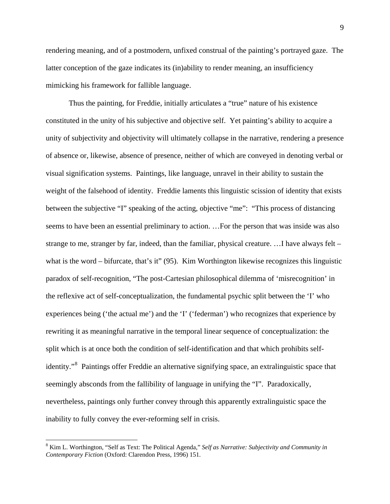rendering meaning, and of a postmodern, unfixed construal of the painting's portrayed gaze. The latter conception of the gaze indicates its (in)ability to render meaning, an insufficiency mimicking his framework for fallible language.

 Thus the painting, for Freddie, initially articulates a "true" nature of his existence constituted in the unity of his subjective and objective self. Yet painting's ability to acquire a unity of subjectivity and objectivity will ultimately collapse in the narrative, rendering a presence of absence or, likewise, absence of presence, neither of which are conveyed in denoting verbal or visual signification systems. Paintings, like language, unravel in their ability to sustain the weight of the falsehood of identity. Freddie laments this linguistic scission of identity that exists between the subjective "I" speaking of the acting, objective "me": "This process of distancing seems to have been an essential preliminary to action. …For the person that was inside was also strange to me, stranger by far, indeed, than the familiar, physical creature. …I have always felt – what is the word – bifurcate, that's it" (95). Kim Worthington likewise recognizes this linguistic paradox of self-recognition, "The post-Cartesian philosophical dilemma of 'misrecognition' in the reflexive act of self-conceptualization, the fundamental psychic split between the 'I' who experiences being ('the actual me') and the 'I' ('federman') who recognizes that experience by rewriting it as meaningful narrative in the temporal linear sequence of conceptualization: the split which is at once both the condition of self-identification and that which prohibits self-identity."<sup>[8](#page-9-0)</sup> Paintings offer Freddie an alternative signifying space, an extralinguistic space that seemingly absconds from the fallibility of language in unifying the "I". Paradoxically, nevertheless, paintings only further convey through this apparently extralinguistic space the inability to fully convey the ever-reforming self in crisis.

<span id="page-9-0"></span><sup>8</sup> Kim L. Worthington, "Self as Text: The Political Agenda," *Self as Narrative: Subjectivity and Community in Contemporary Fiction* (Oxford: Clarendon Press, 1996) 151.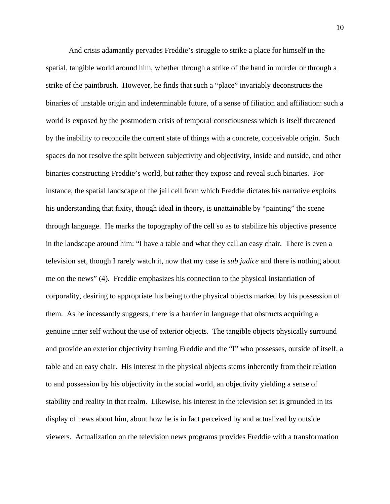And crisis adamantly pervades Freddie's struggle to strike a place for himself in the spatial, tangible world around him, whether through a strike of the hand in murder or through a strike of the paintbrush. However, he finds that such a "place" invariably deconstructs the binaries of unstable origin and indeterminable future, of a sense of filiation and affiliation: such a world is exposed by the postmodern crisis of temporal consciousness which is itself threatened by the inability to reconcile the current state of things with a concrete, conceivable origin. Such spaces do not resolve the split between subjectivity and objectivity, inside and outside, and other binaries constructing Freddie's world, but rather they expose and reveal such binaries. For instance, the spatial landscape of the jail cell from which Freddie dictates his narrative exploits his understanding that fixity, though ideal in theory, is unattainable by "painting" the scene through language. He marks the topography of the cell so as to stabilize his objective presence in the landscape around him: "I have a table and what they call an easy chair. There is even a television set, though I rarely watch it, now that my case is *sub judice* and there is nothing about me on the news" (4). Freddie emphasizes his connection to the physical instantiation of corporality, desiring to appropriate his being to the physical objects marked by his possession of them. As he incessantly suggests, there is a barrier in language that obstructs acquiring a genuine inner self without the use of exterior objects. The tangible objects physically surround and provide an exterior objectivity framing Freddie and the "I" who possesses, outside of itself, a table and an easy chair. His interest in the physical objects stems inherently from their relation to and possession by his objectivity in the social world, an objectivity yielding a sense of stability and reality in that realm. Likewise, his interest in the television set is grounded in its display of news about him, about how he is in fact perceived by and actualized by outside viewers. Actualization on the television news programs provides Freddie with a transformation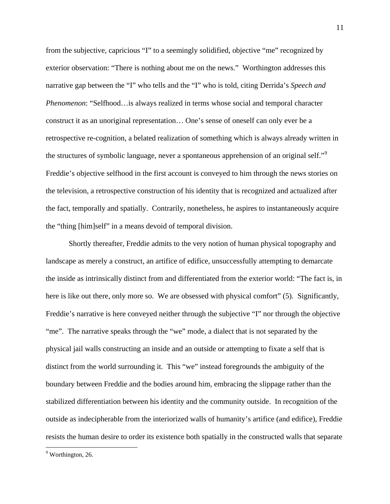from the subjective, capricious "I" to a seemingly solidified, objective "me" recognized by exterior observation: "There is nothing about me on the news." Worthington addresses this narrative gap between the "I" who tells and the "I" who is told, citing Derrida's *Speech and Phenomenon*: "Selfhood…is always realized in terms whose social and temporal character construct it as an unoriginal representation… One's sense of oneself can only ever be a retrospective re-cognition, a belated realization of something which is always already written in the structures of symbolic language, never a spontaneous apprehension of an original self."<sup>[9](#page-11-0)</sup> Freddie's objective selfhood in the first account is conveyed to him through the news stories on the television, a retrospective construction of his identity that is recognized and actualized after the fact, temporally and spatially. Contrarily, nonetheless, he aspires to instantaneously acquire the "thing [him]self" in a means devoid of temporal division.

 Shortly thereafter, Freddie admits to the very notion of human physical topography and landscape as merely a construct, an artifice of edifice, unsuccessfully attempting to demarcate the inside as intrinsically distinct from and differentiated from the exterior world: "The fact is, in here is like out there, only more so. We are obsessed with physical comfort" (5). Significantly, Freddie's narrative is here conveyed neither through the subjective "I" nor through the objective "me". The narrative speaks through the "we" mode, a dialect that is not separated by the physical jail walls constructing an inside and an outside or attempting to fixate a self that is distinct from the world surrounding it. This "we" instead foregrounds the ambiguity of the boundary between Freddie and the bodies around him, embracing the slippage rather than the stabilized differentiation between his identity and the community outside. In recognition of the outside as indecipherable from the interiorized walls of humanity's artifice (and edifice), Freddie resists the human desire to order its existence both spatially in the constructed walls that separate

<u>.</u>

<span id="page-11-0"></span><sup>&</sup>lt;sup>9</sup> Worthington, 26.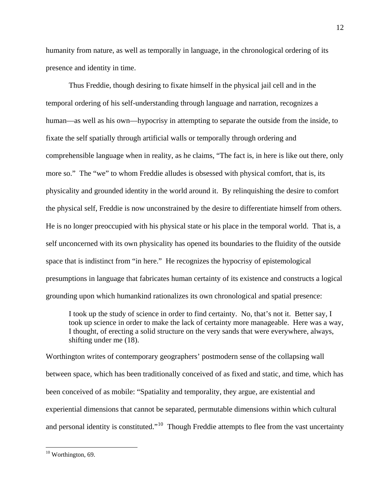humanity from nature, as well as temporally in language, in the chronological ordering of its presence and identity in time.

 Thus Freddie, though desiring to fixate himself in the physical jail cell and in the temporal ordering of his self-understanding through language and narration, recognizes a human—as well as his own—hypocrisy in attempting to separate the outside from the inside, to fixate the self spatially through artificial walls or temporally through ordering and comprehensible language when in reality, as he claims, "The fact is, in here is like out there, only more so." The "we" to whom Freddie alludes is obsessed with physical comfort, that is, its physicality and grounded identity in the world around it. By relinquishing the desire to comfort the physical self, Freddie is now unconstrained by the desire to differentiate himself from others. He is no longer preoccupied with his physical state or his place in the temporal world. That is, a self unconcerned with its own physicality has opened its boundaries to the fluidity of the outside space that is indistinct from "in here." He recognizes the hypocrisy of epistemological presumptions in language that fabricates human certainty of its existence and constructs a logical grounding upon which humankind rationalizes its own chronological and spatial presence:

I took up the study of science in order to find certainty. No, that's not it. Better say, I took up science in order to make the lack of certainty more manageable. Here was a way, I thought, of erecting a solid structure on the very sands that were everywhere, always, shifting under me (18).

Worthington writes of contemporary geographers' postmodern sense of the collapsing wall between space, which has been traditionally conceived of as fixed and static, and time, which has been conceived of as mobile: "Spatiality and temporality, they argue, are existential and experiential dimensions that cannot be separated, permutable dimensions within which cultural and personal identity is constituted."<sup>[10](#page-12-0)</sup> Though Freddie attempts to flee from the vast uncertainty

<u>.</u>

<sup>12</sup> 

<span id="page-12-0"></span><sup>&</sup>lt;sup>10</sup> Worthington, 69.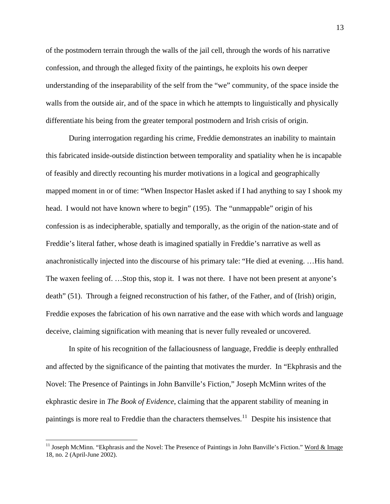of the postmodern terrain through the walls of the jail cell, through the words of his narrative confession, and through the alleged fixity of the paintings, he exploits his own deeper understanding of the inseparability of the self from the "we" community, of the space inside the walls from the outside air, and of the space in which he attempts to linguistically and physically differentiate his being from the greater temporal postmodern and Irish crisis of origin.

 During interrogation regarding his crime, Freddie demonstrates an inability to maintain this fabricated inside-outside distinction between temporality and spatiality when he is incapable of feasibly and directly recounting his murder motivations in a logical and geographically mapped moment in or of time: "When Inspector Haslet asked if I had anything to say I shook my head. I would not have known where to begin" (195). The "unmappable" origin of his confession is as indecipherable, spatially and temporally, as the origin of the nation-state and of Freddie's literal father, whose death is imagined spatially in Freddie's narrative as well as anachronistically injected into the discourse of his primary tale: "He died at evening. …His hand. The waxen feeling of. …Stop this, stop it. I was not there. I have not been present at anyone's death" (51). Through a feigned reconstruction of his father, of the Father, and of (Irish) origin, Freddie exposes the fabrication of his own narrative and the ease with which words and language deceive, claiming signification with meaning that is never fully revealed or uncovered.

 In spite of his recognition of the fallaciousness of language, Freddie is deeply enthralled and affected by the significance of the painting that motivates the murder. In "Ekphrasis and the Novel: The Presence of Paintings in John Banville's Fiction," Joseph McMinn writes of the ekphrastic desire in *The Book of Evidence*, claiming that the apparent stability of meaning in paintings is more real to Freddie than the characters themselves.<sup>[11](#page-13-0)</sup> Despite his insistence that

<span id="page-13-0"></span><sup>&</sup>lt;sup>11</sup> Joseph McMinn. "Ekphrasis and the Novel: The Presence of Paintings in John Banville's Fiction." Word & Image 18, no. 2 (April-June 2002).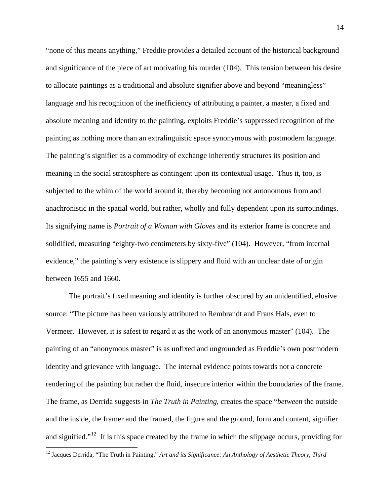"none of this means anything," Freddie provides a detailed account of the historical background and significance of the piece of art motivating his murder (104). This tension between his desire to allocate paintings as a traditional and absolute signifier above and beyond "meaningless" language and his recognition of the inefficiency of attributing a painter, a master, a fixed and absolute meaning and identity to the painting, exploits Freddie's suppressed recognition of the painting as nothing more than an extralinguistic space synonymous with postmodern language. The painting's signifier as a commodity of exchange inherently structures its position and meaning in the social stratosphere as contingent upon its contextual usage. Thus it, too, is subjected to the whim of the world around it, thereby becoming not autonomous from and anachronistic in the spatial world, but rather, wholly and fully dependent upon its surroundings. Its signifying name is *Portrait of a Woman with Gloves* and its exterior frame is concrete and solidified, measuring "eighty-two centimeters by sixty-five" (104). However, "from internal evidence," the painting's very existence is slippery and fluid with an unclear date of origin between 1655 and 1660.

 The portrait's fixed meaning and identity is further obscured by an unidentified, elusive source: "The picture has been variously attributed to Rembrandt and Frans Hals, even to Vermeer. However, it is safest to regard it as the work of an anonymous master" (104). The painting of an "anonymous master" is as unfixed and ungrounded as Freddie's own postmodern identity and grievance with language. The internal evidence points towards not a concrete rendering of the painting but rather the fluid, insecure interior within the boundaries of the frame. The frame, as Derrida suggests in *The Truth in Painting,* creates the space "*between* the outside and the inside, the framer and the framed, the figure and the ground, form and content, signifier and signified."<sup>[12](#page-14-0)</sup> It is this space created by the frame in which the slippage occurs, providing for

<u>.</u>

<span id="page-14-0"></span><sup>12</sup> Jacques Derrida, "The Truth in Painting," *Art and its Significance: An Anthology of Aesthetic Theory*, *Third*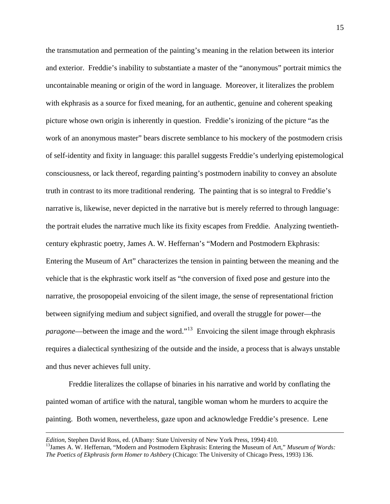the transmutation and permeation of the painting's meaning in the relation between its interior and exterior. Freddie's inability to substantiate a master of the "anonymous" portrait mimics the uncontainable meaning or origin of the word in language. Moreover, it literalizes the problem with ekphrasis as a source for fixed meaning, for an authentic, genuine and coherent speaking picture whose own origin is inherently in question. Freddie's ironizing of the picture "as the work of an anonymous master" bears discrete semblance to his mockery of the postmodern crisis of self-identity and fixity in language: this parallel suggests Freddie's underlying epistemological consciousness, or lack thereof, regarding painting's postmodern inability to convey an absolute truth in contrast to its more traditional rendering. The painting that is so integral to Freddie's narrative is, likewise, never depicted in the narrative but is merely referred to through language: the portrait eludes the narrative much like its fixity escapes from Freddie. Analyzing twentiethcentury ekphrastic poetry, James A. W. Heffernan's "Modern and Postmodern Ekphrasis: Entering the Museum of Art" characterizes the tension in painting between the meaning and the vehicle that is the ekphrastic work itself as "the conversion of fixed pose and gesture into the narrative, the prosopopeial envoicing of the silent image, the sense of representational friction between signifying medium and subject signified, and overall the struggle for power—the *paragone*—between the image and the word."<sup>[13](#page-15-0)</sup> Envoicing the silent image through ekphrasis requires a dialectical synthesizing of the outside and the inside, a process that is always unstable and thus never achieves full unity.

 Freddie literalizes the collapse of binaries in his narrative and world by conflating the painted woman of artifice with the natural, tangible woman whom he murders to acquire the painting. Both women, nevertheless, gaze upon and acknowledge Freddie's presence. Lene

1

<span id="page-15-0"></span>*Edition*, Stephen David Ross, ed. (Albany: State University of New York Press, 1994) 410.<br><sup>13</sup>James A. W. Heffernan, "Modern and Postmodern Ekphrasis: Entering the Museum of Art," *Museum of Words: The Poetics of Ekphrasis form Homer to Ashbery* (Chicago: The University of Chicago Press, 1993) 136.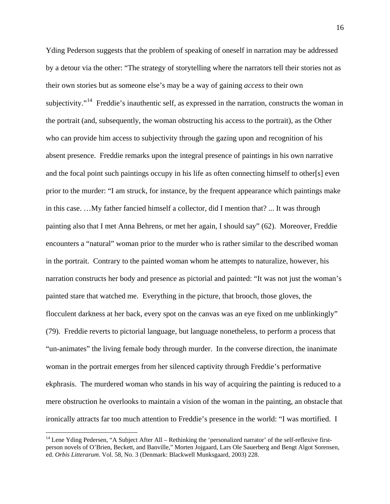Yding Pederson suggests that the problem of speaking of oneself in narration may be addressed by a detour via the other: "The strategy of storytelling where the narrators tell their stories not as their own stories but as someone else's may be a way of gaining *access* to their own subjectivity."<sup>[14](#page-16-0)</sup> Freddie's inauthentic self, as expressed in the narration, constructs the woman in the portrait (and, subsequently, the woman obstructing his access to the portrait), as the Other who can provide him access to subjectivity through the gazing upon and recognition of his absent presence. Freddie remarks upon the integral presence of paintings in his own narrative and the focal point such paintings occupy in his life as often connecting himself to other[s] even prior to the murder: "I am struck, for instance, by the frequent appearance which paintings make in this case. …My father fancied himself a collector, did I mention that? ... It was through painting also that I met Anna Behrens, or met her again, I should say" (62). Moreover, Freddie encounters a "natural" woman prior to the murder who is rather similar to the described woman in the portrait. Contrary to the painted woman whom he attempts to naturalize, however, his narration constructs her body and presence as pictorial and painted: "It was not just the woman's painted stare that watched me. Everything in the picture, that brooch, those gloves, the flocculent darkness at her back, every spot on the canvas was an eye fixed on me unblinkingly" (79). Freddie reverts to pictorial language, but language nonetheless, to perform a process that "un-animates" the living female body through murder. In the converse direction, the inanimate woman in the portrait emerges from her silenced captivity through Freddie's performative ekphrasis. The murdered woman who stands in his way of acquiring the painting is reduced to a mere obstruction he overlooks to maintain a vision of the woman in the painting, an obstacle that ironically attracts far too much attention to Freddie's presence in the world: "I was mortified. I

<span id="page-16-0"></span><sup>&</sup>lt;sup>14</sup> Lene Yding Pedersen, "A Subject After All – Rethinking the 'personalized narrator' of the self-reflexive firstperson novels of O'Brien, Beckett, and Banville," Morten Jojgaard, Lars Ole Sauerberg and Bengt Algot Sorensen, ed. *Orbis Litterarum*. Vol. 58, No. 3 (Denmark: Blackwell Munksgaard, 2003) 228.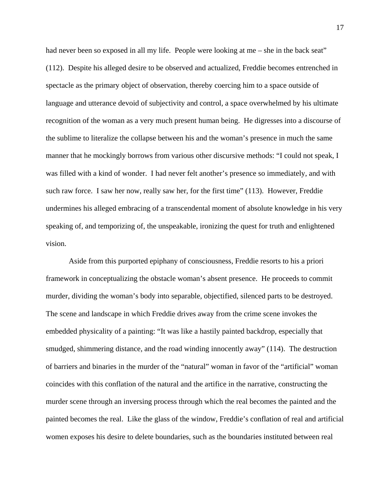had never been so exposed in all my life. People were looking at me – she in the back seat" (112). Despite his alleged desire to be observed and actualized, Freddie becomes entrenched in spectacle as the primary object of observation, thereby coercing him to a space outside of language and utterance devoid of subjectivity and control, a space overwhelmed by his ultimate recognition of the woman as a very much present human being. He digresses into a discourse of the sublime to literalize the collapse between his and the woman's presence in much the same manner that he mockingly borrows from various other discursive methods: "I could not speak, I was filled with a kind of wonder. I had never felt another's presence so immediately, and with such raw force. I saw her now, really saw her, for the first time" (113). However, Freddie undermines his alleged embracing of a transcendental moment of absolute knowledge in his very speaking of, and temporizing of, the unspeakable, ironizing the quest for truth and enlightened vision.

 Aside from this purported epiphany of consciousness, Freddie resorts to his a priori framework in conceptualizing the obstacle woman's absent presence. He proceeds to commit murder, dividing the woman's body into separable, objectified, silenced parts to be destroyed. The scene and landscape in which Freddie drives away from the crime scene invokes the embedded physicality of a painting: "It was like a hastily painted backdrop, especially that smudged, shimmering distance, and the road winding innocently away" (114). The destruction of barriers and binaries in the murder of the "natural" woman in favor of the "artificial" woman coincides with this conflation of the natural and the artifice in the narrative, constructing the murder scene through an inversing process through which the real becomes the painted and the painted becomes the real. Like the glass of the window, Freddie's conflation of real and artificial women exposes his desire to delete boundaries, such as the boundaries instituted between real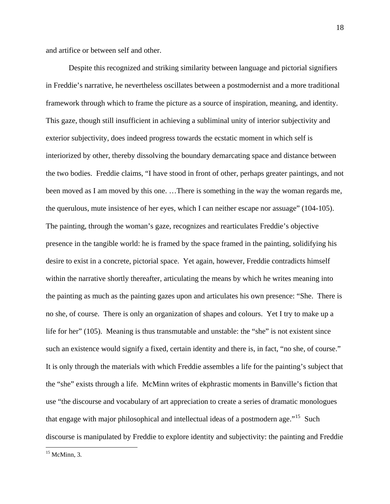and artifice or between self and other.

 Despite this recognized and striking similarity between language and pictorial signifiers in Freddie's narrative, he nevertheless oscillates between a postmodernist and a more traditional framework through which to frame the picture as a source of inspiration, meaning, and identity. This gaze, though still insufficient in achieving a subliminal unity of interior subjectivity and exterior subjectivity, does indeed progress towards the ecstatic moment in which self is interiorized by other, thereby dissolving the boundary demarcating space and distance between the two bodies. Freddie claims, "I have stood in front of other, perhaps greater paintings, and not been moved as I am moved by this one. …There is something in the way the woman regards me, the querulous, mute insistence of her eyes, which I can neither escape nor assuage" (104-105). The painting, through the woman's gaze, recognizes and rearticulates Freddie's objective presence in the tangible world: he is framed by the space framed in the painting, solidifying his desire to exist in a concrete, pictorial space. Yet again, however, Freddie contradicts himself within the narrative shortly thereafter, articulating the means by which he writes meaning into the painting as much as the painting gazes upon and articulates his own presence: "She. There is no she, of course. There is only an organization of shapes and colours. Yet I try to make up a life for her" (105). Meaning is thus transmutable and unstable: the "she" is not existent since such an existence would signify a fixed, certain identity and there is, in fact, "no she, of course." It is only through the materials with which Freddie assembles a life for the painting's subject that the "she" exists through a life. McMinn writes of ekphrastic moments in Banville's fiction that use "the discourse and vocabulary of art appreciation to create a series of dramatic monologues that engage with major philosophical and intellectual ideas of a postmodern age.<sup> $15$ </sup> Such discourse is manipulated by Freddie to explore identity and subjectivity: the painting and Freddie

<span id="page-18-0"></span> $\overline{a}$  $15$  McMinn, 3.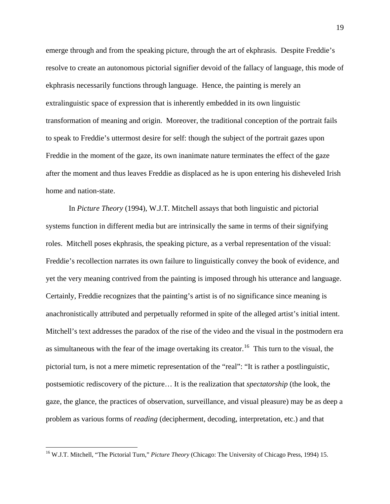emerge through and from the speaking picture, through the art of ekphrasis. Despite Freddie's resolve to create an autonomous pictorial signifier devoid of the fallacy of language, this mode of ekphrasis necessarily functions through language. Hence, the painting is merely an extralinguistic space of expression that is inherently embedded in its own linguistic transformation of meaning and origin. Moreover, the traditional conception of the portrait fails to speak to Freddie's uttermost desire for self: though the subject of the portrait gazes upon Freddie in the moment of the gaze, its own inanimate nature terminates the effect of the gaze after the moment and thus leaves Freddie as displaced as he is upon entering his disheveled Irish home and nation-state.

 In *Picture Theory* (1994), W.J.T. Mitchell assays that both linguistic and pictorial systems function in different media but are intrinsically the same in terms of their signifying roles. Mitchell poses ekphrasis, the speaking picture, as a verbal representation of the visual: Freddie's recollection narrates its own failure to linguistically convey the book of evidence, and yet the very meaning contrived from the painting is imposed through his utterance and language. Certainly, Freddie recognizes that the painting's artist is of no significance since meaning is anachronistically attributed and perpetually reformed in spite of the alleged artist's initial intent. Mitchell's text addresses the paradox of the rise of the video and the visual in the postmodern era as simultaneous with the fear of the image overtaking its creator.<sup>[16](#page-19-0)</sup> This turn to the visual, the pictorial turn, is not a mere mimetic representation of the "real": "It is rather a postlinguistic, postsemiotic rediscovery of the picture… It is the realization that *spectatorship* (the look, the gaze, the glance, the practices of observation, surveillance, and visual pleasure) may be as deep a problem as various forms of *reading* (decipherment, decoding, interpretation, etc.) and that

<span id="page-19-0"></span><sup>16</sup> W.J.T. Mitchell, "The Pictorial Turn," *Picture Theory* (Chicago: The University of Chicago Press, 1994) 15.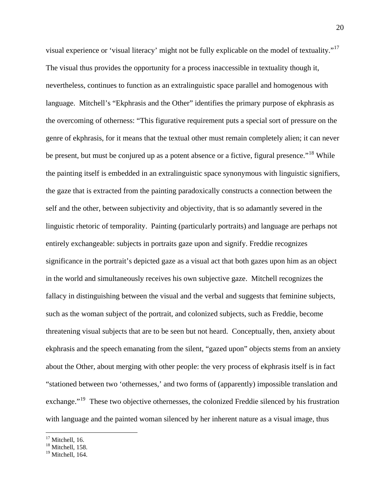visual experience or 'visual literacy' might not be fully explicable on the model of textuality."[17](#page-20-0) The visual thus provides the opportunity for a process inaccessible in textuality though it, nevertheless, continues to function as an extralinguistic space parallel and homogenous with language. Mitchell's "Ekphrasis and the Other" identifies the primary purpose of ekphrasis as the overcoming of otherness: "This figurative requirement puts a special sort of pressure on the genre of ekphrasis, for it means that the textual other must remain completely alien; it can never be present, but must be conjured up as a potent absence or a fictive, figural presence."<sup>[18](#page-20-1)</sup> While the painting itself is embedded in an extralinguistic space synonymous with linguistic signifiers, the gaze that is extracted from the painting paradoxically constructs a connection between the self and the other, between subjectivity and objectivity, that is so adamantly severed in the linguistic rhetoric of temporality. Painting (particularly portraits) and language are perhaps not entirely exchangeable: subjects in portraits gaze upon and signify. Freddie recognizes significance in the portrait's depicted gaze as a visual act that both gazes upon him as an object in the world and simultaneously receives his own subjective gaze. Mitchell recognizes the fallacy in distinguishing between the visual and the verbal and suggests that feminine subjects, such as the woman subject of the portrait, and colonized subjects, such as Freddie, become threatening visual subjects that are to be seen but not heard. Conceptually, then, anxiety about ekphrasis and the speech emanating from the silent, "gazed upon" objects stems from an anxiety about the Other, about merging with other people: the very process of ekphrasis itself is in fact "stationed between two 'othernesses,' and two forms of (apparently) impossible translation and exchange."<sup>[19](#page-20-2)</sup> These two objective othernesses, the colonized Freddie silenced by his frustration with language and the painted woman silenced by her inherent nature as a visual image, thus

<span id="page-20-0"></span> $17$  Mitchell, 16.

 $18$  Mitchell, 158.

<span id="page-20-2"></span><span id="page-20-1"></span> $19$  Mitchell, 164.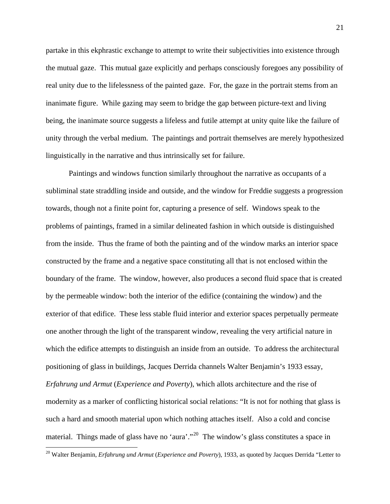partake in this ekphrastic exchange to attempt to write their subjectivities into existence through the mutual gaze. This mutual gaze explicitly and perhaps consciously foregoes any possibility of real unity due to the lifelessness of the painted gaze. For, the gaze in the portrait stems from an inanimate figure. While gazing may seem to bridge the gap between picture-text and living being, the inanimate source suggests a lifeless and futile attempt at unity quite like the failure of unity through the verbal medium. The paintings and portrait themselves are merely hypothesized linguistically in the narrative and thus intrinsically set for failure.

 Paintings and windows function similarly throughout the narrative as occupants of a subliminal state straddling inside and outside, and the window for Freddie suggests a progression towards, though not a finite point for, capturing a presence of self. Windows speak to the problems of paintings, framed in a similar delineated fashion in which outside is distinguished from the inside. Thus the frame of both the painting and of the window marks an interior space constructed by the frame and a negative space constituting all that is not enclosed within the boundary of the frame. The window, however, also produces a second fluid space that is created by the permeable window: both the interior of the edifice (containing the window) and the exterior of that edifice. These less stable fluid interior and exterior spaces perpetually permeate one another through the light of the transparent window, revealing the very artificial nature in which the edifice attempts to distinguish an inside from an outside. To address the architectural positioning of glass in buildings, Jacques Derrida channels Walter Benjamin's 1933 essay, *Erfahrung und Armut* (*Experience and Poverty*), which allots architecture and the rise of modernity as a marker of conflicting historical social relations: "It is not for nothing that glass is such a hard and smooth material upon which nothing attaches itself. Also a cold and concise material. Things made of glass have no 'aura'."<sup>[20](#page-21-0)</sup> The window's glass constitutes a space in

<span id="page-21-0"></span><sup>20</sup> Walter Benjamin, *Erfahrung und Armut* (*Experience and Poverty*), 1933, as quoted by Jacques Derrida "Letter to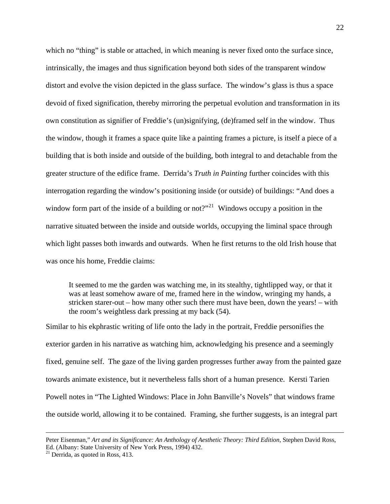which no "thing" is stable or attached, in which meaning is never fixed onto the surface since, intrinsically, the images and thus signification beyond both sides of the transparent window distort and evolve the vision depicted in the glass surface. The window's glass is thus a space devoid of fixed signification, thereby mirroring the perpetual evolution and transformation in its own constitution as signifier of Freddie's (un)signifying, (de)framed self in the window. Thus the window, though it frames a space quite like a painting frames a picture, is itself a piece of a building that is both inside and outside of the building, both integral to and detachable from the greater structure of the edifice frame. Derrida's *Truth in Painting* further coincides with this interrogation regarding the window's positioning inside (or outside) of buildings: "And does a window form part of the inside of a building or not?"<sup>[21](#page-22-0)</sup> Windows occupy a position in the narrative situated between the inside and outside worlds, occupying the liminal space through which light passes both inwards and outwards. When he first returns to the old Irish house that was once his home, Freddie claims:

It seemed to me the garden was watching me, in its stealthy, tightlipped way, or that it was at least somehow aware of me, framed here in the window, wringing my hands, a stricken starer-out – how many other such there must have been, down the years! – with the room's weightless dark pressing at my back (54).

Similar to his ekphrastic writing of life onto the lady in the portrait, Freddie personifies the exterior garden in his narrative as watching him, acknowledging his presence and a seemingly fixed, genuine self. The gaze of the living garden progresses further away from the painted gaze towards animate existence, but it nevertheless falls short of a human presence. Kersti Tarien Powell notes in "The Lighted Windows: Place in John Banville's Novels" that windows frame the outside world, allowing it to be contained. Framing, she further suggests, is an integral part

Peter Eisenman," *Art and its Significance: An Anthology of Aesthetic Theory: Third Edition*, Stephen David Ross, Ed. (Albany: State University of New York Press, 1994) 432.

<span id="page-22-0"></span> $21$  Derrida, as quoted in Ross, 413.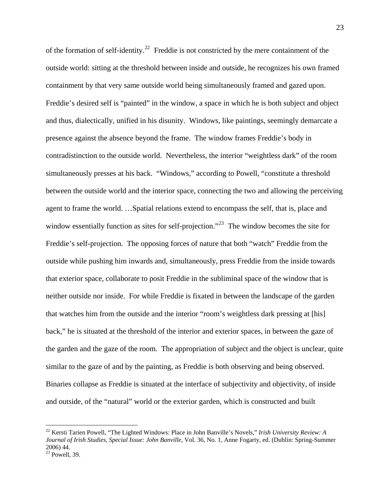of the formation of self-identity.<sup>[22](#page-23-0)</sup> Freddie is not constricted by the mere containment of the outside world: sitting at the threshold between inside and outside, he recognizes his own framed containment by that very same outside world being simultaneously framed and gazed upon. Freddie's desired self is "painted" in the window, a space in which he is both subject and object and thus, dialectically, unified in his disunity. Windows, like paintings, seemingly demarcate a presence against the absence beyond the frame. The window frames Freddie's body in contradistinction to the outside world. Nevertheless, the interior "weightless dark" of the room simultaneously presses at his back. "Windows," according to Powell, "constitute a threshold between the outside world and the interior space, connecting the two and allowing the perceiving agent to frame the world. …Spatial relations extend to encompass the self, that is, place and window essentially function as sites for self-projection."<sup>[23](#page-23-1)</sup> The window becomes the site for Freddie's self-projection. The opposing forces of nature that both "watch" Freddie from the outside while pushing him inwards and, simultaneously, press Freddie from the inside towards that exterior space, collaborate to posit Freddie in the subliminal space of the window that is neither outside nor inside. For while Freddie is fixated in between the landscape of the garden that watches him from the outside and the interior "room's weightless dark pressing at [his] back," he is situated at the threshold of the interior and exterior spaces, in between the gaze of the garden and the gaze of the room. The appropriation of subject and the object is unclear, quite similar to the gaze of and by the painting, as Freddie is both observing and being observed. Binaries collapse as Freddie is situated at the interface of subjectivity and objectivity, of inside and outside, of the "natural" world or the exterior garden, which is constructed and built

<span id="page-23-0"></span><sup>22</sup> Kersti Tarien Powell, "The Lighted Windows: Place in John Banville's Novels," *Irish University Review: A Journal of Irish Studies, Special Issue: John Banville*, Vol. 36, No. 1, Anne Fogarty, ed. (Dublin: Spring-Summer 2006) 44.

<span id="page-23-1"></span> $\frac{23}{23}$  Powell, 39.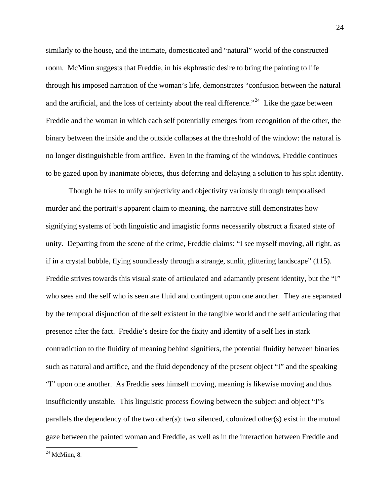similarly to the house, and the intimate, domesticated and "natural" world of the constructed room. McMinn suggests that Freddie, in his ekphrastic desire to bring the painting to life through his imposed narration of the woman's life, demonstrates "confusion between the natural and the artificial, and the loss of certainty about the real difference."<sup>[24](#page-24-0)</sup> Like the gaze between Freddie and the woman in which each self potentially emerges from recognition of the other, the binary between the inside and the outside collapses at the threshold of the window: the natural is no longer distinguishable from artifice. Even in the framing of the windows, Freddie continues to be gazed upon by inanimate objects, thus deferring and delaying a solution to his split identity.

 Though he tries to unify subjectivity and objectivity variously through temporalised murder and the portrait's apparent claim to meaning, the narrative still demonstrates how signifying systems of both linguistic and imagistic forms necessarily obstruct a fixated state of unity. Departing from the scene of the crime, Freddie claims: "I see myself moving, all right, as if in a crystal bubble, flying soundlessly through a strange, sunlit, glittering landscape" (115). Freddie strives towards this visual state of articulated and adamantly present identity, but the "I" who sees and the self who is seen are fluid and contingent upon one another. They are separated by the temporal disjunction of the self existent in the tangible world and the self articulating that presence after the fact. Freddie's desire for the fixity and identity of a self lies in stark contradiction to the fluidity of meaning behind signifiers, the potential fluidity between binaries such as natural and artifice, and the fluid dependency of the present object "I" and the speaking "I" upon one another. As Freddie sees himself moving, meaning is likewise moving and thus insufficiently unstable. This linguistic process flowing between the subject and object "I"s parallels the dependency of the two other(s): two silenced, colonized other(s) exist in the mutual gaze between the painted woman and Freddie, as well as in the interaction between Freddie and

<span id="page-24-0"></span> $^{24}$  McMinn, 8.

<u>.</u>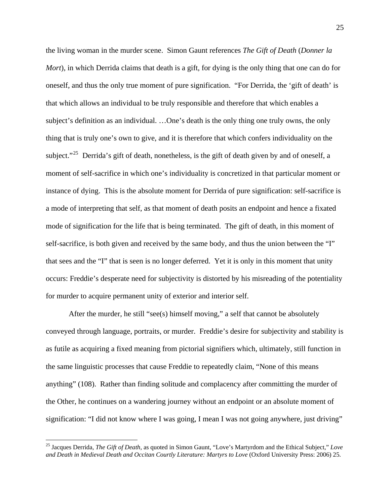the living woman in the murder scene. Simon Gaunt references *The Gift of Death* (*Donner la Mort*), in which Derrida claims that death is a gift, for dying is the only thing that one can do for oneself, and thus the only true moment of pure signification. "For Derrida, the 'gift of death' is that which allows an individual to be truly responsible and therefore that which enables a subject's definition as an individual. …One's death is the only thing one truly owns, the only thing that is truly one's own to give, and it is therefore that which confers individuality on the subject."<sup>[25](#page-25-0)</sup> Derrida's gift of death, nonetheless, is the gift of death given by and of oneself, a moment of self-sacrifice in which one's individuality is concretized in that particular moment or instance of dying. This is the absolute moment for Derrida of pure signification: self-sacrifice is a mode of interpreting that self, as that moment of death posits an endpoint and hence a fixated mode of signification for the life that is being terminated. The gift of death, in this moment of self-sacrifice, is both given and received by the same body, and thus the union between the "I" that sees and the "I" that is seen is no longer deferred. Yet it is only in this moment that unity occurs: Freddie's desperate need for subjectivity is distorted by his misreading of the potentiality for murder to acquire permanent unity of exterior and interior self.

After the murder, he still "see(s) himself moving," a self that cannot be absolutely conveyed through language, portraits, or murder. Freddie's desire for subjectivity and stability is as futile as acquiring a fixed meaning from pictorial signifiers which, ultimately, still function in the same linguistic processes that cause Freddie to repeatedly claim, "None of this means anything" (108). Rather than finding solitude and complacency after committing the murder of the Other, he continues on a wandering journey without an endpoint or an absolute moment of signification: "I did not know where I was going, I mean I was not going anywhere, just driving"

<span id="page-25-0"></span><sup>25</sup> Jacques Derrida, *The Gift of Death*, as quoted in Simon Gaunt, "Love's Martyrdom and the Ethical Subject," *Love and Death in Medieval Death and Occitan Courtly Literature: Martyrs to Love* (Oxford University Press: 2006) 25.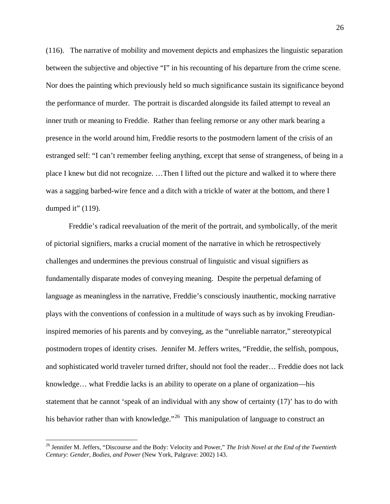(116). The narrative of mobility and movement depicts and emphasizes the linguistic separation between the subjective and objective "I" in his recounting of his departure from the crime scene. Nor does the painting which previously held so much significance sustain its significance beyond the performance of murder. The portrait is discarded alongside its failed attempt to reveal an inner truth or meaning to Freddie. Rather than feeling remorse or any other mark bearing a presence in the world around him, Freddie resorts to the postmodern lament of the crisis of an estranged self: "I can't remember feeling anything, except that sense of strangeness, of being in a place I knew but did not recognize. …Then I lifted out the picture and walked it to where there was a sagging barbed-wire fence and a ditch with a trickle of water at the bottom, and there I dumped it"  $(119)$ .

 Freddie's radical reevaluation of the merit of the portrait, and symbolically, of the merit of pictorial signifiers, marks a crucial moment of the narrative in which he retrospectively challenges and undermines the previous construal of linguistic and visual signifiers as fundamentally disparate modes of conveying meaning. Despite the perpetual defaming of language as meaningless in the narrative, Freddie's consciously inauthentic, mocking narrative plays with the conventions of confession in a multitude of ways such as by invoking Freudianinspired memories of his parents and by conveying, as the "unreliable narrator," stereotypical postmodern tropes of identity crises. Jennifer M. Jeffers writes, "Freddie, the selfish, pompous, and sophisticated world traveler turned drifter, should not fool the reader… Freddie does not lack knowledge… what Freddie lacks is an ability to operate on a plane of organization—his statement that he cannot 'speak of an individual with any show of certainty (17)' has to do with his behavior rather than with knowledge."<sup>[26](#page-26-0)</sup> This manipulation of language to construct an

<span id="page-26-0"></span><sup>26</sup> Jennifer M. Jeffers, "Discourse and the Body: Velocity and Power," *The Irish Novel at the End of the Twentieth Century: Gender, Bodies, and Power* (New York, Palgrave: 2002) 143.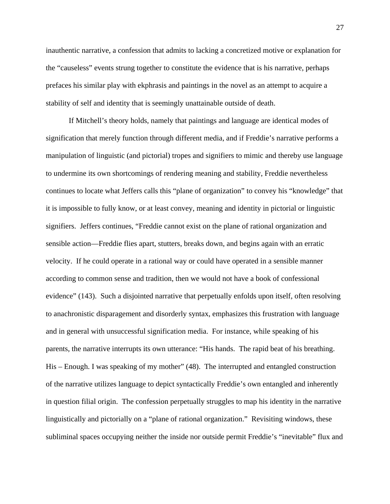inauthentic narrative, a confession that admits to lacking a concretized motive or explanation for the "causeless" events strung together to constitute the evidence that is his narrative, perhaps prefaces his similar play with ekphrasis and paintings in the novel as an attempt to acquire a stability of self and identity that is seemingly unattainable outside of death.

 If Mitchell's theory holds, namely that paintings and language are identical modes of signification that merely function through different media, and if Freddie's narrative performs a manipulation of linguistic (and pictorial) tropes and signifiers to mimic and thereby use language to undermine its own shortcomings of rendering meaning and stability, Freddie nevertheless continues to locate what Jeffers calls this "plane of organization" to convey his "knowledge" that it is impossible to fully know, or at least convey, meaning and identity in pictorial or linguistic signifiers. Jeffers continues, "Freddie cannot exist on the plane of rational organization and sensible action—Freddie flies apart, stutters, breaks down, and begins again with an erratic velocity. If he could operate in a rational way or could have operated in a sensible manner according to common sense and tradition, then we would not have a book of confessional evidence" (143). Such a disjointed narrative that perpetually enfolds upon itself, often resolving to anachronistic disparagement and disorderly syntax, emphasizes this frustration with language and in general with unsuccessful signification media. For instance, while speaking of his parents, the narrative interrupts its own utterance: "His hands. The rapid beat of his breathing. His – Enough. I was speaking of my mother" (48). The interrupted and entangled construction of the narrative utilizes language to depict syntactically Freddie's own entangled and inherently in question filial origin. The confession perpetually struggles to map his identity in the narrative linguistically and pictorially on a "plane of rational organization." Revisiting windows, these subliminal spaces occupying neither the inside nor outside permit Freddie's "inevitable" flux and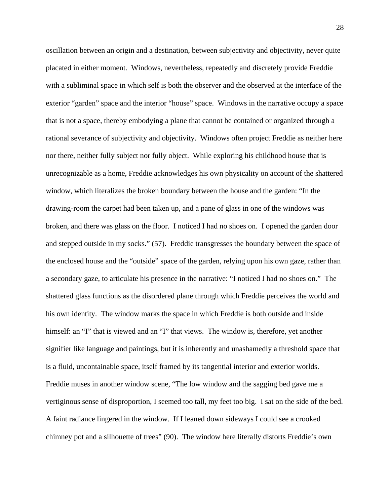oscillation between an origin and a destination, between subjectivity and objectivity, never quite placated in either moment. Windows, nevertheless, repeatedly and discretely provide Freddie with a subliminal space in which self is both the observer and the observed at the interface of the exterior "garden" space and the interior "house" space. Windows in the narrative occupy a space that is not a space, thereby embodying a plane that cannot be contained or organized through a rational severance of subjectivity and objectivity. Windows often project Freddie as neither here nor there, neither fully subject nor fully object. While exploring his childhood house that is unrecognizable as a home, Freddie acknowledges his own physicality on account of the shattered window, which literalizes the broken boundary between the house and the garden: "In the drawing-room the carpet had been taken up, and a pane of glass in one of the windows was broken, and there was glass on the floor. I noticed I had no shoes on. I opened the garden door and stepped outside in my socks." (57). Freddie transgresses the boundary between the space of the enclosed house and the "outside" space of the garden, relying upon his own gaze, rather than a secondary gaze, to articulate his presence in the narrative: "I noticed I had no shoes on." The shattered glass functions as the disordered plane through which Freddie perceives the world and his own identity. The window marks the space in which Freddie is both outside and inside himself: an "I" that is viewed and an "I" that views. The window is, therefore, yet another signifier like language and paintings, but it is inherently and unashamedly a threshold space that is a fluid, uncontainable space, itself framed by its tangential interior and exterior worlds. Freddie muses in another window scene, "The low window and the sagging bed gave me a vertiginous sense of disproportion, I seemed too tall, my feet too big. I sat on the side of the bed. A faint radiance lingered in the window. If I leaned down sideways I could see a crooked chimney pot and a silhouette of trees" (90). The window here literally distorts Freddie's own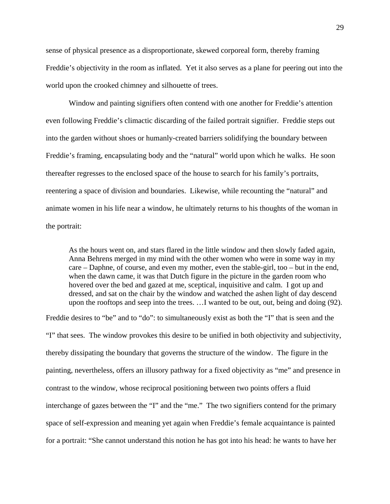sense of physical presence as a disproportionate, skewed corporeal form, thereby framing Freddie's objectivity in the room as inflated. Yet it also serves as a plane for peering out into the world upon the crooked chimney and silhouette of trees.

 Window and painting signifiers often contend with one another for Freddie's attention even following Freddie's climactic discarding of the failed portrait signifier. Freddie steps out into the garden without shoes or humanly-created barriers solidifying the boundary between Freddie's framing, encapsulating body and the "natural" world upon which he walks. He soon thereafter regresses to the enclosed space of the house to search for his family's portraits, reentering a space of division and boundaries. Likewise, while recounting the "natural" and animate women in his life near a window, he ultimately returns to his thoughts of the woman in the portrait:

As the hours went on, and stars flared in the little window and then slowly faded again, Anna Behrens merged in my mind with the other women who were in some way in my care – Daphne, of course, and even my mother, even the stable-girl, too – but in the end, when the dawn came, it was that Dutch figure in the picture in the garden room who hovered over the bed and gazed at me, sceptical, inquisitive and calm. I got up and dressed, and sat on the chair by the window and watched the ashen light of day descend upon the rooftops and seep into the trees. …I wanted to be out, out, being and doing (92).

Freddie desires to "be" and to "do": to simultaneously exist as both the "I" that is seen and the "I" that sees. The window provokes this desire to be unified in both objectivity and subjectivity, thereby dissipating the boundary that governs the structure of the window. The figure in the painting, nevertheless, offers an illusory pathway for a fixed objectivity as "me" and presence in contrast to the window, whose reciprocal positioning between two points offers a fluid interchange of gazes between the "I" and the "me." The two signifiers contend for the primary space of self-expression and meaning yet again when Freddie's female acquaintance is painted for a portrait: "She cannot understand this notion he has got into his head: he wants to have her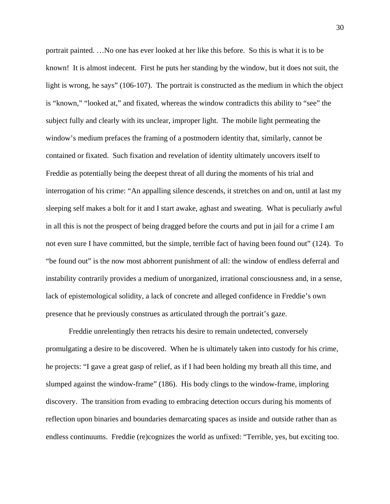portrait painted. …No one has ever looked at her like this before. So this is what it is to be known! It is almost indecent. First he puts her standing by the window, but it does not suit, the light is wrong, he says" (106-107). The portrait is constructed as the medium in which the object is "known," "looked at," and fixated, whereas the window contradicts this ability to "see" the subject fully and clearly with its unclear, improper light. The mobile light permeating the window's medium prefaces the framing of a postmodern identity that, similarly, cannot be contained or fixated. Such fixation and revelation of identity ultimately uncovers itself to Freddie as potentially being the deepest threat of all during the moments of his trial and interrogation of his crime: "An appalling silence descends, it stretches on and on, until at last my sleeping self makes a bolt for it and I start awake, aghast and sweating. What is peculiarly awful in all this is not the prospect of being dragged before the courts and put in jail for a crime I am not even sure I have committed, but the simple, terrible fact of having been found out" (124). To "be found out" is the now most abhorrent punishment of all: the window of endless deferral and instability contrarily provides a medium of unorganized, irrational consciousness and, in a sense, lack of epistemological solidity, a lack of concrete and alleged confidence in Freddie's own presence that he previously construes as articulated through the portrait's gaze.

 Freddie unrelentingly then retracts his desire to remain undetected, conversely promulgating a desire to be discovered. When he is ultimately taken into custody for his crime, he projects: "I gave a great gasp of relief, as if I had been holding my breath all this time, and slumped against the window-frame" (186). His body clings to the window-frame, imploring discovery. The transition from evading to embracing detection occurs during his moments of reflection upon binaries and boundaries demarcating spaces as inside and outside rather than as endless continuums. Freddie (re)cognizes the world as unfixed: "Terrible, yes, but exciting too.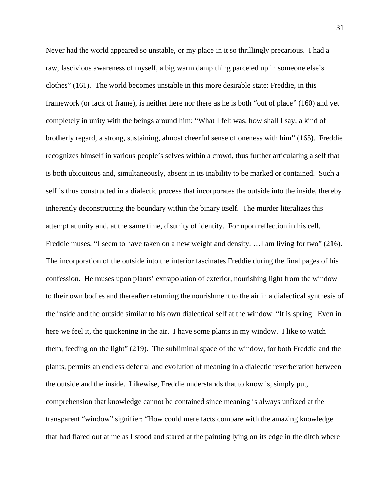Never had the world appeared so unstable, or my place in it so thrillingly precarious. I had a raw, lascivious awareness of myself, a big warm damp thing parceled up in someone else's clothes" (161). The world becomes unstable in this more desirable state: Freddie, in this framework (or lack of frame), is neither here nor there as he is both "out of place" (160) and yet completely in unity with the beings around him: "What I felt was, how shall I say, a kind of brotherly regard, a strong, sustaining, almost cheerful sense of oneness with him" (165). Freddie recognizes himself in various people's selves within a crowd, thus further articulating a self that is both ubiquitous and, simultaneously, absent in its inability to be marked or contained. Such a self is thus constructed in a dialectic process that incorporates the outside into the inside, thereby inherently deconstructing the boundary within the binary itself. The murder literalizes this attempt at unity and, at the same time, disunity of identity. For upon reflection in his cell, Freddie muses, "I seem to have taken on a new weight and density. …I am living for two" (216). The incorporation of the outside into the interior fascinates Freddie during the final pages of his confession. He muses upon plants' extrapolation of exterior, nourishing light from the window to their own bodies and thereafter returning the nourishment to the air in a dialectical synthesis of the inside and the outside similar to his own dialectical self at the window: "It is spring. Even in here we feel it, the quickening in the air. I have some plants in my window. I like to watch them, feeding on the light" (219). The subliminal space of the window, for both Freddie and the plants, permits an endless deferral and evolution of meaning in a dialectic reverberation between the outside and the inside. Likewise, Freddie understands that to know is, simply put, comprehension that knowledge cannot be contained since meaning is always unfixed at the transparent "window" signifier: "How could mere facts compare with the amazing knowledge that had flared out at me as I stood and stared at the painting lying on its edge in the ditch where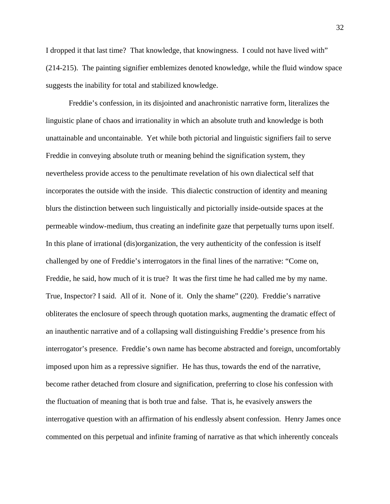I dropped it that last time? That knowledge, that knowingness. I could not have lived with" (214-215). The painting signifier emblemizes denoted knowledge, while the fluid window space suggests the inability for total and stabilized knowledge.

 Freddie's confession, in its disjointed and anachronistic narrative form, literalizes the linguistic plane of chaos and irrationality in which an absolute truth and knowledge is both unattainable and uncontainable. Yet while both pictorial and linguistic signifiers fail to serve Freddie in conveying absolute truth or meaning behind the signification system, they nevertheless provide access to the penultimate revelation of his own dialectical self that incorporates the outside with the inside. This dialectic construction of identity and meaning blurs the distinction between such linguistically and pictorially inside-outside spaces at the permeable window-medium, thus creating an indefinite gaze that perpetually turns upon itself. In this plane of irrational (dis)organization, the very authenticity of the confession is itself challenged by one of Freddie's interrogators in the final lines of the narrative: "Come on, Freddie, he said, how much of it is true? It was the first time he had called me by my name. True, Inspector? I said. All of it. None of it. Only the shame" (220). Freddie's narrative obliterates the enclosure of speech through quotation marks, augmenting the dramatic effect of an inauthentic narrative and of a collapsing wall distinguishing Freddie's presence from his interrogator's presence. Freddie's own name has become abstracted and foreign, uncomfortably imposed upon him as a repressive signifier. He has thus, towards the end of the narrative, become rather detached from closure and signification, preferring to close his confession with the fluctuation of meaning that is both true and false. That is, he evasively answers the interrogative question with an affirmation of his endlessly absent confession. Henry James once commented on this perpetual and infinite framing of narrative as that which inherently conceals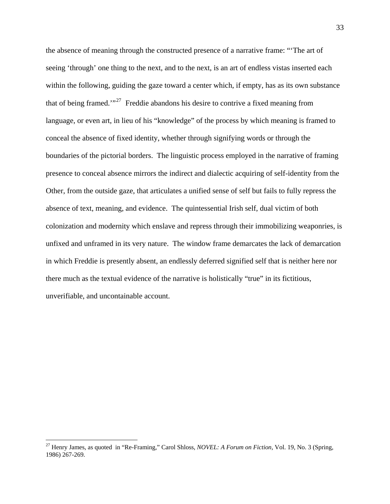the absence of meaning through the constructed presence of a narrative frame: "'The art of seeing 'through' one thing to the next, and to the next, is an art of endless vistas inserted each within the following, guiding the gaze toward a center which, if empty, has as its own substance that of being framed.'"[27](#page-33-0) Freddie abandons his desire to contrive a fixed meaning from language, or even art, in lieu of his "knowledge" of the process by which meaning is framed to conceal the absence of fixed identity, whether through signifying words or through the boundaries of the pictorial borders. The linguistic process employed in the narrative of framing presence to conceal absence mirrors the indirect and dialectic acquiring of self-identity from the Other, from the outside gaze, that articulates a unified sense of self but fails to fully repress the absence of text, meaning, and evidence. The quintessential Irish self, dual victim of both colonization and modernity which enslave and repress through their immobilizing weaponries, is unfixed and unframed in its very nature. The window frame demarcates the lack of demarcation in which Freddie is presently absent, an endlessly deferred signified self that is neither here nor there much as the textual evidence of the narrative is holistically "true" in its fictitious, unverifiable, and uncontainable account.

<span id="page-33-0"></span><sup>27</sup> Henry James, as quoted in "Re-Framing," Carol Shloss, *NOVEL: A Forum on Fiction*, Vol. 19, No. 3 (Spring, 1986) 267-269.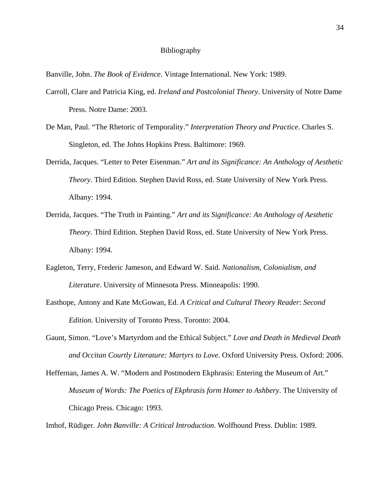## Bibliography

Banville, John. *The Book of Evidence*. Vintage International. New York: 1989.

- Carroll, Clare and Patricia King, ed. *Ireland and Postcolonial Theory*. University of Notre Dame Press. Notre Dame: 2003.
- De Man, Paul. "The Rhetoric of Temporality." *Interpretation Theory and Practice*. Charles S. Singleton, ed. The Johns Hopkins Press. Baltimore: 1969.
- Derrida, Jacques. "Letter to Peter Eisenman." *Art and its Significance: An Anthology of Aesthetic Theory*. Third Edition. Stephen David Ross, ed. State University of New York Press. Albany: 1994.
- Derrida, Jacques. "The Truth in Painting." *Art and its Significance: An Anthology of Aesthetic Theory*. Third Edition. Stephen David Ross, ed. State University of New York Press. Albany: 1994.
- Eagleton, Terry, Frederic Jameson, and Edward W. Said. *Nationalism, Colonialism, and Literature*. University of Minnesota Press. Minneapolis: 1990.
- Easthope, Antony and Kate McGowan, Ed. *A Critical and Cultural Theory Reader*: *Second Edition*. University of Toronto Press. Toronto: 2004.
- Gaunt, Simon. "Love's Martyrdom and the Ethical Subject." *Love and Death in Medieval Death and Occitan Courtly Literature: Martyrs to Love*. Oxford University Press. Oxford: 2006.
- Heffernan, James A. W. "Modern and Postmodern Ekphrasis: Entering the Museum of Art." *Museum of Words: The Poetics of Ekphrasis form Homer to Ashbery*. The University of Chicago Press. Chicago: 1993.

Imhof, Rüdiger. *John Banville: A Critical Introduction*. Wolfhound Press. Dublin: 1989.